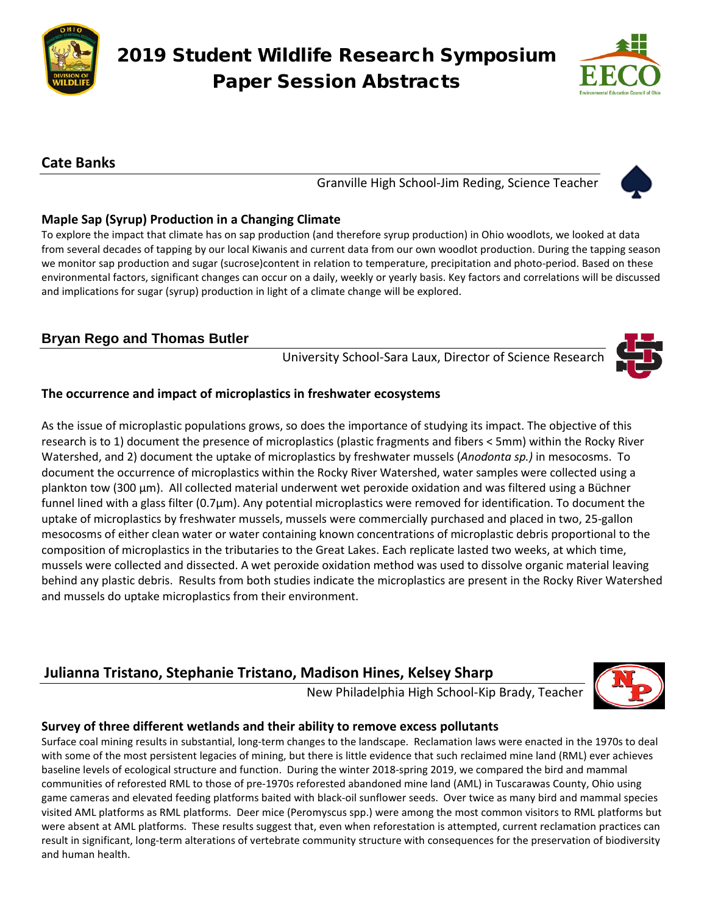

# 2019 Student Wildlife Research Symposium Paper Session Abstracts



## **Cate Banks**

Granville High School-Jim Reding, Science Teacher



## **Maple Sap (Syrup) Production in a Changing Climate**

To explore the impact that climate has on sap production (and therefore syrup production) in Ohio woodlots, we looked at data from several decades of tapping by our local Kiwanis and current data from our own woodlot production. During the tapping season we monitor sap production and sugar (sucrose)content in relation to temperature, precipitation and photo-period. Based on these environmental factors, significant changes can occur on a daily, weekly or yearly basis. Key factors and correlations will be discussed and implications for sugar (syrup) production in light of a climate change will be explored.

# **Bryan Rego and Thomas Butler**

University School-Sara Laux, Director of Science Research

#### **The occurrence and impact of microplastics in freshwater ecosystems**

As the issue of microplastic populations grows, so does the importance of studying its impact. The objective of this research is to 1) document the presence of microplastics (plastic fragments and fibers < 5mm) within the Rocky River Watershed, and 2) document the uptake of microplastics by freshwater mussels (*Anodonta sp.)* in mesocosms. To document the occurrence of microplastics within the Rocky River Watershed, water samples were collected using a plankton tow (300 µm). All collected material underwent wet peroxide oxidation and was filtered using a Büchner funnel lined with a glass filter (0.7µm). Any potential microplastics were removed for identification. To document the uptake of microplastics by freshwater mussels, mussels were commercially purchased and placed in two, 25-gallon mesocosms of either clean water or water containing known concentrations of microplastic debris proportional to the composition of microplastics in the tributaries to the Great Lakes. Each replicate lasted two weeks, at which time, mussels were collected and dissected. A wet peroxide oxidation method was used to dissolve organic material leaving behind any plastic debris. Results from both studies indicate the microplastics are present in the Rocky River Watershed and mussels do uptake microplastics from their environment.

# **Julianna Tristano, Stephanie Tristano, Madison Hines, Kelsey Sharp**

New Philadelphia High School-Kip Brady, Teacher



## **Survey of three different wetlands and their ability to remove excess pollutants**

Surface coal mining results in substantial, long-term changes to the landscape. Reclamation laws were enacted in the 1970s to deal with some of the most persistent legacies of mining, but there is little evidence that such reclaimed mine land (RML) ever achieves baseline levels of ecological structure and function. During the winter 2018-spring 2019, we compared the bird and mammal communities of reforested RML to those of pre-1970s reforested abandoned mine land (AML) in Tuscarawas County, Ohio using game cameras and elevated feeding platforms baited with black-oil sunflower seeds. Over twice as many bird and mammal species visited AML platforms as RML platforms. Deer mice (Peromyscus spp.) were among the most common visitors to RML platforms but were absent at AML platforms. These results suggest that, even when reforestation is attempted, current reclamation practices can result in significant, long-term alterations of vertebrate community structure with consequences for the preservation of biodiversity and human health.